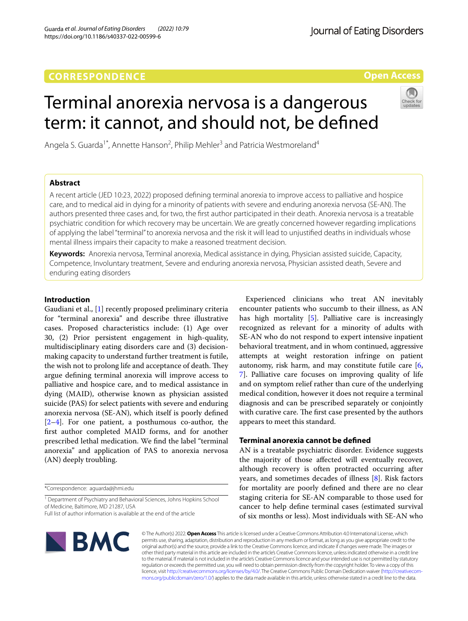https://doi.org/10.1186/s40337-022-00599-6

Guarda *et al. Journal of Eating Disorders (2022) 10:79* 

**Open Access**

# Terminal anorexia nervosa is a dangerous term: it cannot, and should not, be defned

Angela S. Guarda<sup>1\*</sup>, Annette Hanson<sup>2</sup>, Philip Mehler<sup>3</sup> and Patricia Westmoreland<sup>4</sup>

# **Abstract**

A recent article (JED 10:23, 2022) proposed defning terminal anorexia to improve access to palliative and hospice care, and to medical aid in dying for a minority of patients with severe and enduring anorexia nervosa (SE-AN). The authors presented three cases and, for two, the frst author participated in their death. Anorexia nervosa is a treatable psychiatric condition for which recovery may be uncertain. We are greatly concerned however regarding implications of applying the label "terminal" to anorexia nervosa and the risk it will lead to unjustifed deaths in individuals whose mental illness impairs their capacity to make a reasoned treatment decision.

**Keywords:** Anorexia nervosa, Terminal anorexia, Medical assistance in dying, Physician assisted suicide, Capacity, Competence, Involuntary treatment, Severe and enduring anorexia nervosa, Physician assisted death, Severe and enduring eating disorders

## **Introduction**

Gaudiani et al., [[1\]](#page-2-0) recently proposed preliminary criteria for "terminal anorexia" and describe three illustrative cases. Proposed characteristics include: (1) Age over 30, (2) Prior persistent engagement in high-quality, multidisciplinary eating disorders care and (3) decisionmaking capacity to understand further treatment is futile, the wish not to prolong life and acceptance of death. They argue defning terminal anorexia will improve access to palliative and hospice care, and to medical assistance in dying (MAID), otherwise known as physician assisted suicide (PAS) for select patients with severe and enduring anorexia nervosa (SE-AN), which itself is poorly defned  $[2-4]$  $[2-4]$ . For one patient, a posthumous co-author, the frst author completed MAID forms, and for another prescribed lethal medication. We fnd the label "terminal anorexia" and application of PAS to anorexia nervosa (AN) deeply troubling.

<sup>1</sup> Department of Psychiatry and Behavioral Sciences, Johns Hopkins School of Medicine, Baltimore, MD 21287, USA

Full list of author information is available at the end of the article

Experienced clinicians who treat AN inevitably encounter patients who succumb to their illness, as AN has high mortality [\[5](#page-2-3)]. Palliative care is increasingly recognized as relevant for a minority of adults with SE-AN who do not respond to expert intensive inpatient behavioral treatment, and in whom continued, aggressive attempts at weight restoration infringe on patient autonomy, risk harm, and may constitute futile care [\[6](#page-2-4), [7\]](#page-2-5). Palliative care focuses on improving quality of life and on symptom relief rather than cure of the underlying medical condition, however it does not require a terminal diagnosis and can be prescribed separately or conjointly with curative care. The first case presented by the authors appears to meet this standard.

# **Terminal anorexia cannot be defned**

AN is a treatable psychiatric disorder. Evidence suggests the majority of those afected will eventually recover, although recovery is often protracted occurring after years, and sometimes decades of illness [\[8](#page-2-6)]. Risk factors for mortality are poorly defned and there are no clear staging criteria for SE-AN comparable to those used for cancer to help defne terminal cases (estimated survival of six months or less). Most individuals with SE-AN who



© The Author(s) 2022. **Open Access** This article is licensed under a Creative Commons Attribution 4.0 International License, which permits use, sharing, adaptation, distribution and reproduction in any medium or format, as long as you give appropriate credit to the original author(s) and the source, provide a link to the Creative Commons licence, and indicate if changes were made. The images or other third party material in this article are included in the article's Creative Commons licence, unless indicated otherwise in a credit line to the material. If material is not included in the article's Creative Commons licence and your intended use is not permitted by statutory regulation or exceeds the permitted use, you will need to obtain permission directly from the copyright holder. To view a copy of this licence, visit [http://creativecommons.org/licenses/by/4.0/.](http://creativecommons.org/licenses/by/4.0/) The Creative Commons Public Domain Dedication waiver ([http://creativecom](http://creativecommons.org/publicdomain/zero/1.0/)[mons.org/publicdomain/zero/1.0/\)](http://creativecommons.org/publicdomain/zero/1.0/) applies to the data made available in this article, unless otherwise stated in a credit line to the data.

<sup>\*</sup>Correspondence: aguarda@jhmi.edu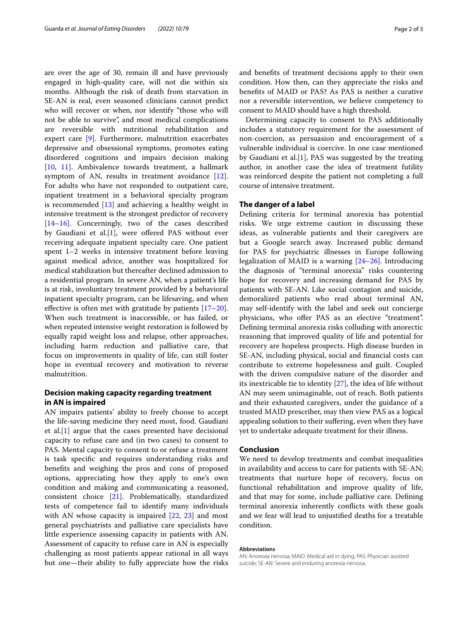are over the age of 30, remain ill and have previously engaged in high-quality care, will not die within six months. Although the risk of death from starvation in SE-AN is real, even seasoned clinicians cannot predict who will recover or when, nor identify "those who will not be able to survive", and most medical complications are reversible with nutritional rehabilitation and expert care [\[9](#page-2-7)]. Furthermore, malnutrition exacerbates depressive and obsessional symptoms, promotes eating disordered cognitions and impairs decision making [[10,](#page-2-8) [11](#page-2-9)]. Ambivalence towards treatment, a hallmark symptom of AN, results in treatment avoidance [\[12](#page-2-10)]. For adults who have not responded to outpatient care, inpatient treatment in a behavioral specialty program is recommended [[13](#page-2-11)] and achieving a healthy weight in intensive treatment is the strongest predictor of recovery [[14–](#page-2-12)[16](#page-2-13)]. Concerningly, two of the cases described by Gaudiani et al.[[1](#page-2-0)], were offered PAS without ever receiving adequate inpatient specialty care. One patient spent 1–2 weeks in intensive treatment before leaving against medical advice, another was hospitalized for medical stabilization but thereafter declined admission to a residential program. In severe AN, when a patient's life is at risk, involuntary treatment provided by a behavioral inpatient specialty program, can be lifesaving, and when effective is often met with gratitude by patients  $[17–20]$  $[17–20]$  $[17–20]$  $[17–20]$ . When such treatment is inaccessible, or has failed, or when repeated intensive weight restoration is followed by equally rapid weight loss and relapse, other approaches, including harm reduction and palliative care, that focus on improvements in quality of life, can still foster hope in eventual recovery and motivation to reverse malnutrition.

### **Decision making capacity regarding treatment in AN is impaired**

AN impairs patients' ability to freely choose to accept the life-saving medicine they need most, food. Gaudiani et al.[[1\]](#page-2-0) argue that the cases presented have decisional capacity to refuse care and (in two cases) to consent to PAS. Mental capacity to consent to or refuse a treatment is task specifc and requires understanding risks and benefts and weighing the pros and cons of proposed options, appreciating how they apply to one's own condition and making and communicating a reasoned, consistent choice [\[21](#page-2-16)]. Problematically, standardized tests of competence fail to identify many individuals with AN whose capacity is impaired [\[22](#page-2-17), [23](#page-2-18)] and most general psychiatrists and palliative care specialists have little experience assessing capacity in patients with AN. Assessment of capacity to refuse care in AN is especially challenging as most patients appear rational in all ways but one—their ability to fully appreciate how the risks and benefts of treatment decisions apply to their own condition. How then, can they appreciate the risks and benefts of MAID or PAS? As PAS is neither a curative nor a reversible intervention, we believe competency to consent to MAID should have a high threshold.

Determining capacity to consent to PAS additionally includes a statutory requirement for the assessment of non-coercion, as persuasion and encouragement of a vulnerable individual is coercive. In one case mentioned by Gaudiani et al.[[1\]](#page-2-0), PAS was suggested by the treating author, in another case the idea of treatment futility was reinforced despite the patient not completing a full course of intensive treatment.

#### **The danger of a label**

Defning criteria for terminal anorexia has potential risks. We urge extreme caution in discussing these ideas, as vulnerable patients and their caregivers are but a Google search away. Increased public demand for PAS for psychiatric illnesses in Europe following legalization of MAID is a warning [\[24](#page-2-19)[–26\]](#page-2-20). Introducing the diagnosis of "terminal anorexia" risks countering hope for recovery and increasing demand for PAS by patients with SE-AN. Like social contagion and suicide, demoralized patients who read about terminal AN, may self-identify with the label and seek out concierge physicians, who ofer PAS as an elective "treatment". Defning terminal anorexia risks colluding with anorectic reasoning that improved quality of life and potential for recovery are hopeless prospects. High disease burden in SE-AN, including physical, social and fnancial costs can contribute to extreme hopelessness and guilt. Coupled with the driven compulsive nature of the disorder and its inextricable tie to identity [\[27](#page-2-21)], the idea of life without AN may seem unimaginable, out of reach. Both patients and their exhausted caregivers, under the guidance of a trusted MAID prescriber, may then view PAS as a logical appealing solution to their sufering, even when they have yet to undertake adequate treatment for their illness.

#### **Conclusion**

We need to develop treatments and combat inequalities in availability and access to care for patients with SE-AN; treatments that nurture hope of recovery, focus on functional rehabilitation and improve quality of life, and that may for some, include palliative care. Defning terminal anorexia inherently conficts with these goals and we fear will lead to unjustifed deaths for a treatable condition.

#### **Abbreviations**

AN: Anorexia nervosa; MAID: Medical aid in dying; PAS: Physician assisted suicide; SE-AN: Severe and enduring anorexia nervosa.